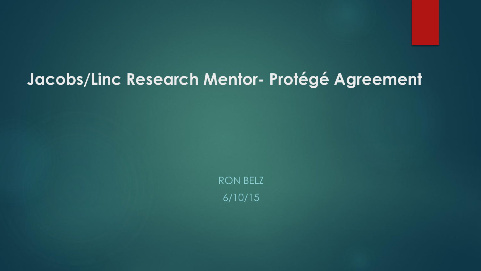## **Jacobs/Linc Research Mentor- Protégé Agreement**

RON BELZ 6/10/15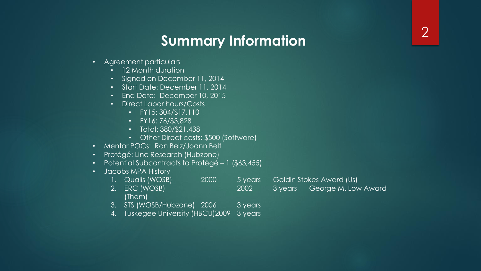# **Summary Information** <sup>2</sup>

- Agreement particulars
	- 12 Month duration
	- Signed on December 11, 2014
	- Start Date: December 11, 2014
	- End Date: December 10, 2015
	- Direct Labor hours/Costs
		- FY15: 304/\$17,110
		- FY16: 76/\$3,828
		- Total: 380/\$21,438
		- Other Direct costs: \$500 (Software)
- Mentor POCs: Ron Belz/Joann Belt
- Protégé: Linc Research (Hubzone)
- Potential Subcontracts to Protégé 1 (\$63,455)
- Jacobs MPA History
	- 1. Qualis (WOSB) 2000 5 years Goldin Stokes Award (Us)
	- 2. ERC (WOSB) 2002 3 years George M. Low Award (Them)

- 3. STS (WOSB/Hubzone) 2006 3 years
- 4. Tuskegee University (HBCU)2009 3 years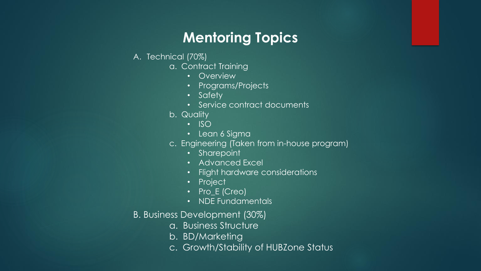## **Mentoring Topics**

#### A. Technical (70%)

- a. Contract Training
	- Overview
	- Programs/Projects
	- Safety
	- Service contract documents
- b. Quality
	- ISO
	- Lean 6 Sigma
- c. Engineering (Taken from in-house program)
	- Sharepoint
	- Advanced Excel
	- Flight hardware considerations
	- Project
	- Pro\_E (Creo)
	- NDE Fundamentals
- B. Business Development (30%)
	- a. Business Structure
	- b. BD/Marketing
	- c. Growth/Stability of HUBZone Status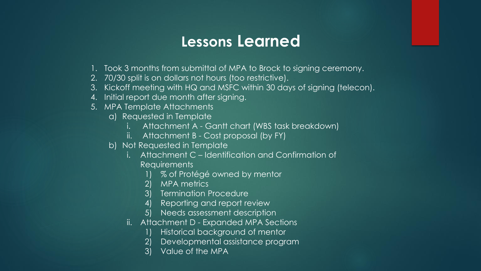## **Lessons Learned**

- 1. Took 3 months from submittal of MPA to Brock to signing ceremony.
- 2. 70/30 split is on dollars not hours (too restrictive).
- 3. Kickoff meeting with HQ and MSFC within 30 days of signing (telecon).
- 4. Initial report due month after signing.
- 5. MPA Template Attachments
	- a) Requested in Template
		- Attachment A Gantt chart (WBS task breakdown)
		- ii. Attachment B Cost proposal (by FY)
	- b) Not Requested in Template
		- i. Attachment C Identification and Confirmation of Requirements
			- % of Protégé owned by mentor
			- 2) MPA metrics
			- 3) Termination Procedure
			- 4) Reporting and report review
			- 5) Needs assessment description
		- ii. Attachment D Expanded MPA Sections
			- 1) Historical background of mentor
			- 2) Developmental assistance program
			- 3) Value of the MPA